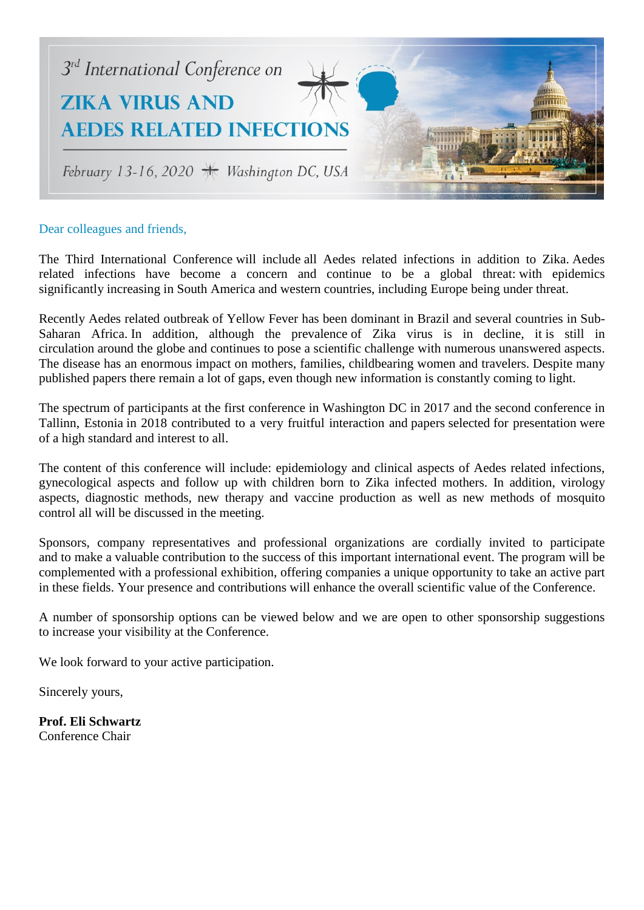

#### Dear colleagues and friends,

The Third International Conference will include all Aedes related infections in addition to Zika. Aedes related infections have become a concern and continue to be a global threat: with epidemics significantly increasing in South America and western countries, including Europe being under threat.

Recently Aedes related outbreak of Yellow Fever has been dominant in Brazil and several countries in Sub-Saharan Africa. In addition, although the prevalence of Zika virus is in decline, it is still in circulation around the globe and continues to pose a scientific challenge with numerous unanswered aspects. The disease has an enormous impact on mothers, families, childbearing women and travelers. Despite many published papers there remain a lot of gaps, even though new information is constantly coming to light.

The spectrum of participants at the first conference in Washington DC in 2017 and the second conference in Tallinn, Estonia in 2018 contributed to a very fruitful interaction and papers selected for presentation were of a high standard and interest to all.

The content of this conference will include: epidemiology and clinical aspects of Aedes related infections, gynecological aspects and follow up with children born to Zika infected mothers. In addition, virology aspects, diagnostic methods, new therapy and vaccine production as well as new methods of mosquito control all will be discussed in the meeting.

Sponsors, company representatives and professional organizations are cordially invited to participate and to make a valuable contribution to the success of this important international event. The program will be complemented with a professional exhibition, offering companies a unique opportunity to take an active part in these fields. Your presence and contributions will enhance the overall scientific value of the Conference.

A number of sponsorship options can be viewed below and we are open to other sponsorship suggestions to increase your visibility at the Conference.

We look forward to your active participation.

Sincerely yours,

**Prof. Eli Schwartz** Conference Chair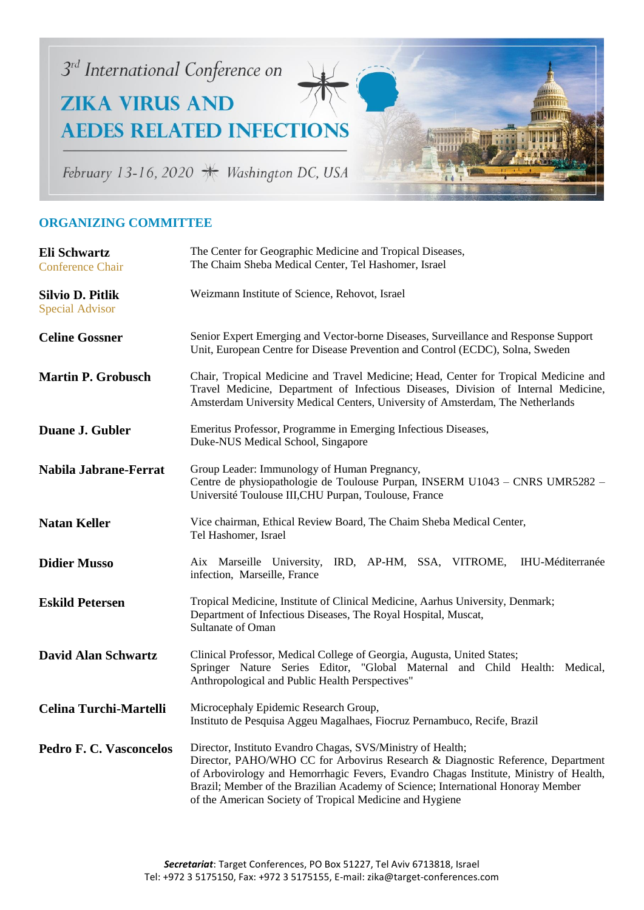

minu

# February 13-16, 2020 \* Washington DC, USA

### **ORGANIZING COMMITTEE**

| Eli Schwartz<br><b>Conference Chair</b>    | The Center for Geographic Medicine and Tropical Diseases,<br>The Chaim Sheba Medical Center, Tel Hashomer, Israel                                                                                                                                                                                                                                                                       |  |
|--------------------------------------------|-----------------------------------------------------------------------------------------------------------------------------------------------------------------------------------------------------------------------------------------------------------------------------------------------------------------------------------------------------------------------------------------|--|
| Silvio D. Pitlik<br><b>Special Advisor</b> | Weizmann Institute of Science, Rehovot, Israel                                                                                                                                                                                                                                                                                                                                          |  |
| <b>Celine Gossner</b>                      | Senior Expert Emerging and Vector-borne Diseases, Surveillance and Response Support<br>Unit, European Centre for Disease Prevention and Control (ECDC), Solna, Sweden                                                                                                                                                                                                                   |  |
| <b>Martin P. Grobusch</b>                  | Chair, Tropical Medicine and Travel Medicine; Head, Center for Tropical Medicine and<br>Travel Medicine, Department of Infectious Diseases, Division of Internal Medicine,<br>Amsterdam University Medical Centers, University of Amsterdam, The Netherlands                                                                                                                            |  |
| Duane J. Gubler                            | Emeritus Professor, Programme in Emerging Infectious Diseases,<br>Duke-NUS Medical School, Singapore                                                                                                                                                                                                                                                                                    |  |
| Nabila Jabrane-Ferrat                      | Group Leader: Immunology of Human Pregnancy,<br>Centre de physiopathologie de Toulouse Purpan, INSERM U1043 – CNRS UMR5282 –<br>Université Toulouse III, CHU Purpan, Toulouse, France                                                                                                                                                                                                   |  |
| <b>Natan Keller</b>                        | Vice chairman, Ethical Review Board, The Chaim Sheba Medical Center,<br>Tel Hashomer, Israel                                                                                                                                                                                                                                                                                            |  |
| <b>Didier Musso</b>                        | <b>IHU-Méditerranée</b><br>Aix Marseille University, IRD, AP-HM, SSA, VITROME,<br>infection, Marseille, France                                                                                                                                                                                                                                                                          |  |
| <b>Eskild Petersen</b>                     | Tropical Medicine, Institute of Clinical Medicine, Aarhus University, Denmark;<br>Department of Infectious Diseases, The Royal Hospital, Muscat,<br>Sultanate of Oman                                                                                                                                                                                                                   |  |
| <b>David Alan Schwartz</b>                 | Clinical Professor, Medical College of Georgia, Augusta, United States;<br>Springer Nature Series Editor, "Global Maternal and Child Health: Medical,<br>Anthropological and Public Health Perspectives"                                                                                                                                                                                |  |
| Celina Turchi-Martelli                     | Microcephaly Epidemic Research Group,<br>Instituto de Pesquisa Aggeu Magalhaes, Fiocruz Pernambuco, Recife, Brazil                                                                                                                                                                                                                                                                      |  |
| <b>Pedro F. C. Vasconcelos</b>             | Director, Instituto Evandro Chagas, SVS/Ministry of Health;<br>Director, PAHO/WHO CC for Arbovirus Research & Diagnostic Reference, Department<br>of Arbovirology and Hemorrhagic Fevers, Evandro Chagas Institute, Ministry of Health,<br>Brazil; Member of the Brazilian Academy of Science; International Honoray Member<br>of the American Society of Tropical Medicine and Hygiene |  |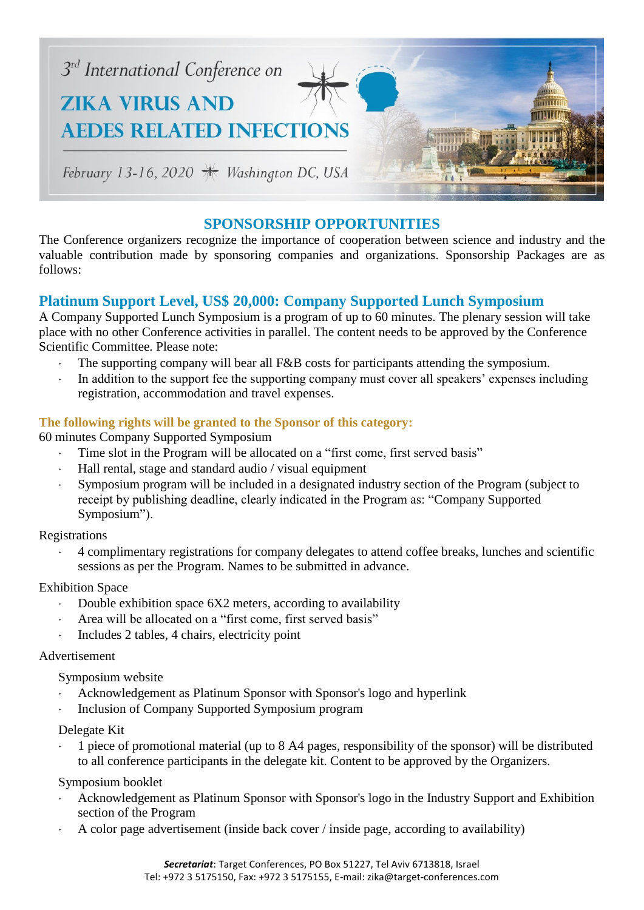

### **SPONSORSHIP OPPORTUNITIES**

The Conference organizers recognize the importance of cooperation between science and industry and the valuable contribution made by sponsoring companies and organizations. Sponsorship Packages are as follows:

### **Platinum Support Level, US\$ 20,000: Company Supported Lunch Symposium**

A Company Supported Lunch Symposium is a program of up to 60 minutes. The plenary session will take place with no other Conference activities in parallel. The content needs to be approved by the Conference Scientific Committee. Please note:

- The supporting company will bear all F&B costs for participants attending the symposium.
- In addition to the support fee the supporting company must cover all speakers' expenses including registration, accommodation and travel expenses.

#### **The following rights will be granted to the Sponsor of this category:**

60 minutes Company Supported Symposium

- Time slot in the Program will be allocated on a "first come, first served basis"
- Hall rental, stage and standard audio / visual equipment
- Symposium program will be included in a designated industry section of the Program (subject to receipt by publishing deadline, clearly indicated in the Program as: "Company Supported Symposium").

#### Registrations

 4 complimentary registrations for company delegates to attend coffee breaks, lunches and scientific sessions as per the Program. Names to be submitted in advance.

#### Exhibition Space

- Double exhibition space  $6X2$  meters, according to availability
- Area will be allocated on a "first come, first served basis"
- Includes 2 tables, 4 chairs, electricity point

#### Advertisement

Symposium website

- Acknowledgement as Platinum Sponsor with Sponsor's logo and hyperlink
- Inclusion of Company Supported Symposium program

#### Delegate Kit

 1 piece of promotional material (up to 8 A4 pages, responsibility of the sponsor) will be distributed to all conference participants in the delegate kit. Content to be approved by the Organizers.

#### Symposium booklet

- Acknowledgement as Platinum Sponsor with Sponsor's logo in the Industry Support and Exhibition section of the Program
- A color page advertisement (inside back cover / inside page, according to availability)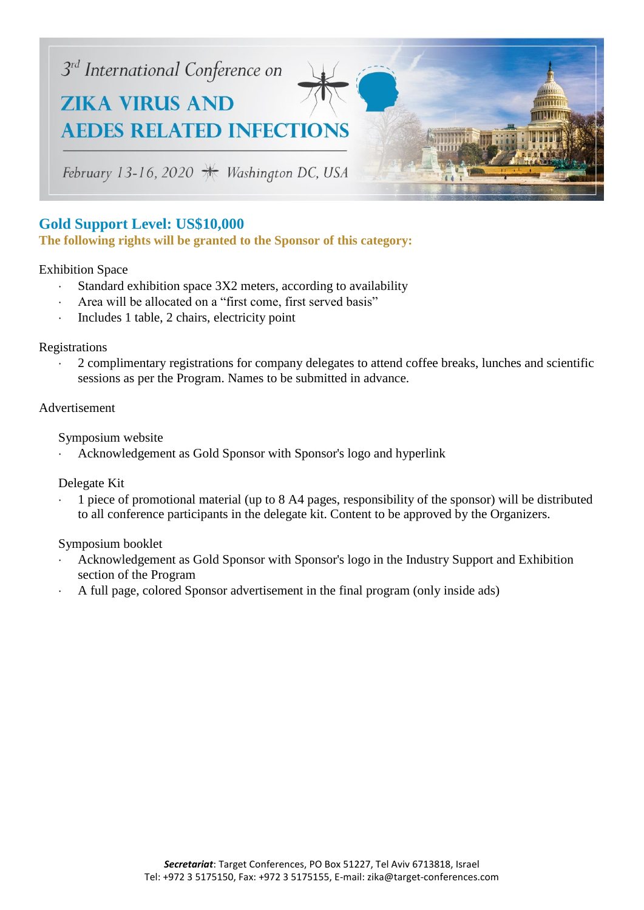

## **Gold Support Level: US\$10,000**

**The following rights will be granted to the Sponsor of this category:**

#### Exhibition Space

- Standard exhibition space 3X2 meters, according to availability
- Area will be allocated on a "first come, first served basis"
- Includes 1 table, 2 chairs, electricity point

#### Registrations

 2 complimentary registrations for company delegates to attend coffee breaks, lunches and scientific sessions as per the Program. Names to be submitted in advance.

#### Advertisement

Symposium website

Acknowledgement as Gold Sponsor with Sponsor's logo and hyperlink

Delegate Kit

 1 piece of promotional material (up to 8 A4 pages, responsibility of the sponsor) will be distributed to all conference participants in the delegate kit. Content to be approved by the Organizers.

#### Symposium booklet

- Acknowledgement as Gold Sponsor with Sponsor's logo in the Industry Support and Exhibition section of the Program
- A full page, colored Sponsor advertisement in the final program (only inside ads)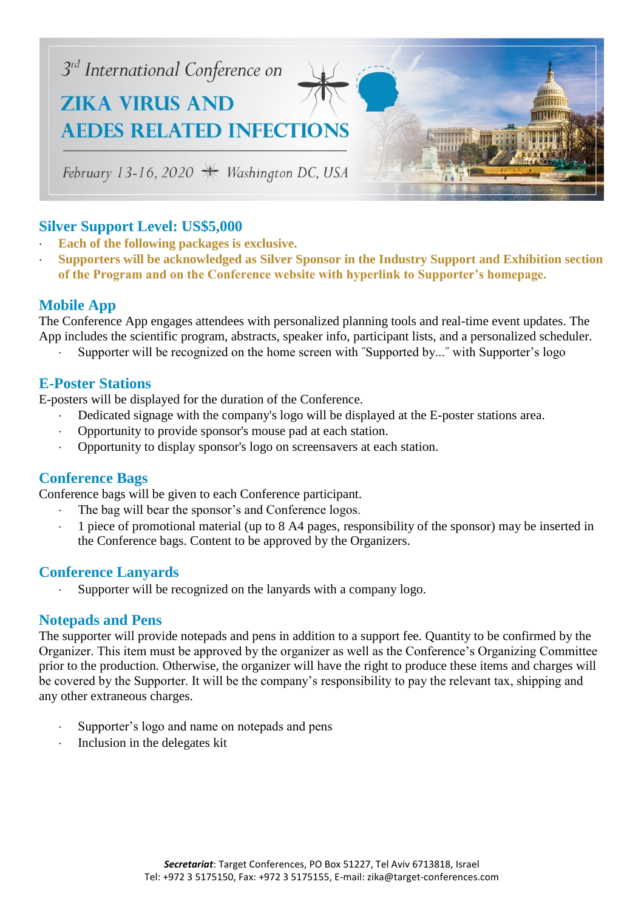

### **Silver Support Level: US\$5,000**

- **Each of the following packages is exclusive.**
- **Supporters will be acknowledged as Silver Sponsor in the Industry Support and Exhibition section of the Program and on the Conference website with hyperlink to Supporter's homepage.**

### **Mobile App**

The Conference App engages attendees with personalized planning tools and real-time event updates. The App includes the scientific program, abstracts, speaker info, participant lists, and a personalized scheduler.

Supporter will be recognized on the home screen with ˝Supported by...˝ with Supporter's logo

#### **E-Poster Stations**

E-posters will be displayed for the duration of the Conference.

- Dedicated signage with the company's logo will be displayed at the E-poster stations area.
- Opportunity to provide sponsor's mouse pad at each station.
- Opportunity to display sponsor's logo on screensavers at each station.

### **Conference Bags**

Conference bags will be given to each Conference participant.

- The bag will bear the sponsor's and Conference logos.
- 1 piece of promotional material (up to 8 A4 pages, responsibility of the sponsor) may be inserted in the Conference bags. Content to be approved by the Organizers.

### **Conference Lanyards**

Supporter will be recognized on the lanyards with a company logo.

### **Notepads and Pens**

The supporter will provide notepads and pens in addition to a support fee. Quantity to be confirmed by the Organizer. This item must be approved by the organizer as well as the Conference's Organizing Committee prior to the production. Otherwise, the organizer will have the right to produce these items and charges will be covered by the Supporter. It will be the company's responsibility to pay the relevant tax, shipping and any other extraneous charges.

- Supporter's logo and name on notepads and pens
- Inclusion in the delegates kit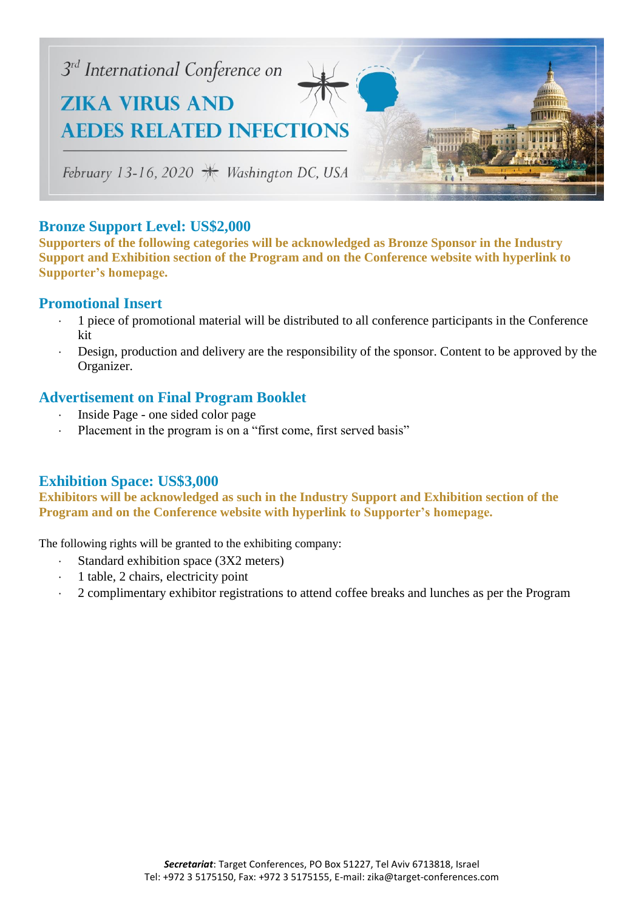

### **Bronze Support Level: US\$2,000**

**Supporters of the following categories will be acknowledged as Bronze Sponsor in the Industry Support and Exhibition section of the Program and on the Conference website with hyperlink to Supporter's homepage.**

#### **Promotional Insert**

- 1 piece of promotional material will be distributed to all conference participants in the Conference kit
- Design, production and delivery are the responsibility of the sponsor. Content to be approved by the Organizer.

### **Advertisement on Final Program Booklet**

- Inside Page one sided color page
- Placement in the program is on a "first come, first served basis"

### **Exhibition Space: US\$3,000**

**Exhibitors will be acknowledged as such in the Industry Support and Exhibition section of the Program and on the Conference website with hyperlink to Supporter's homepage.**

The following rights will be granted to the exhibiting company:

- Standard exhibition space (3X2 meters)
- 1 table, 2 chairs, electricity point
- 2 complimentary exhibitor registrations to attend coffee breaks and lunches as per the Program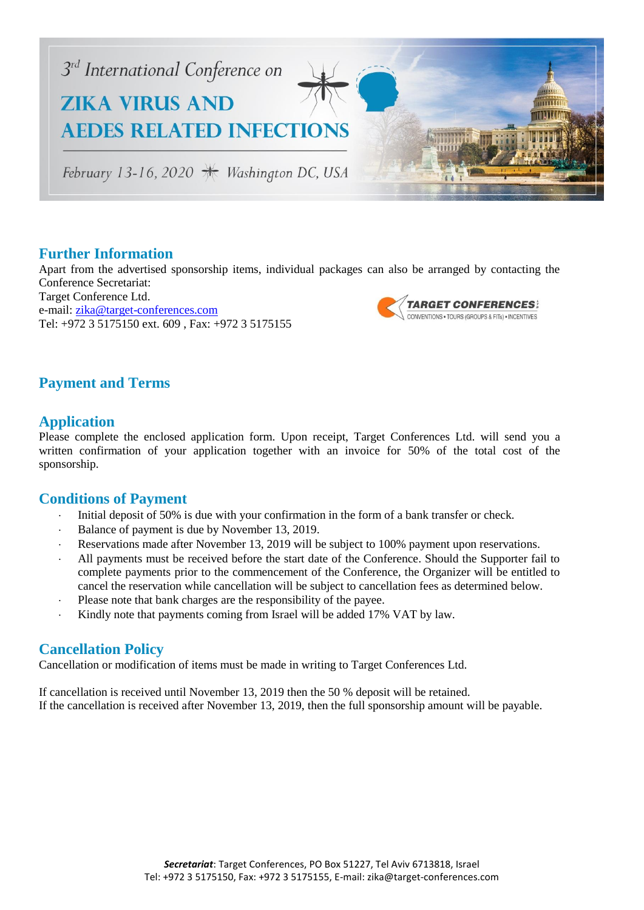

### **Further Information**

Apart from the advertised sponsorship items, individual packages can also be arranged by contacting the Conference Secretariat: Target Conference Ltd. **TARGET CONFERENCES:** e-mail: [zika@target-conferences.com](mailto:zika@target-conferences.com) CONVENTIONS . TOURS (GROUPS & FITs) . INCENTIVES Tel: +972 3 5175150 ext. 609 , Fax: +972 3 5175155

### **Payment and Terms**

### **Application**

Please complete the enclosed application form. Upon receipt, Target Conferences Ltd. will send you a written confirmation of your application together with an invoice for 50% of the total cost of the sponsorship.

#### **Conditions of Payment**

- Initial deposit of 50% is due with your confirmation in the form of a bank transfer or check.
- Balance of payment is due by November 13, 2019.
- Reservations made after November 13, 2019 will be subject to 100% payment upon reservations.
- All payments must be received before the start date of the Conference. Should the Supporter fail to complete payments prior to the commencement of the Conference, the Organizer will be entitled to cancel the reservation while cancellation will be subject to cancellation fees as determined below.
- Please note that bank charges are the responsibility of the payee.
- Kindly note that payments coming from Israel will be added 17% VAT by law.

### **Cancellation Policy**

Cancellation or modification of items must be made in writing to Target Conferences Ltd.

If cancellation is received until November 13, 2019 then the 50 % deposit will be retained. If the cancellation is received after November 13, 2019, then the full sponsorship amount will be payable.